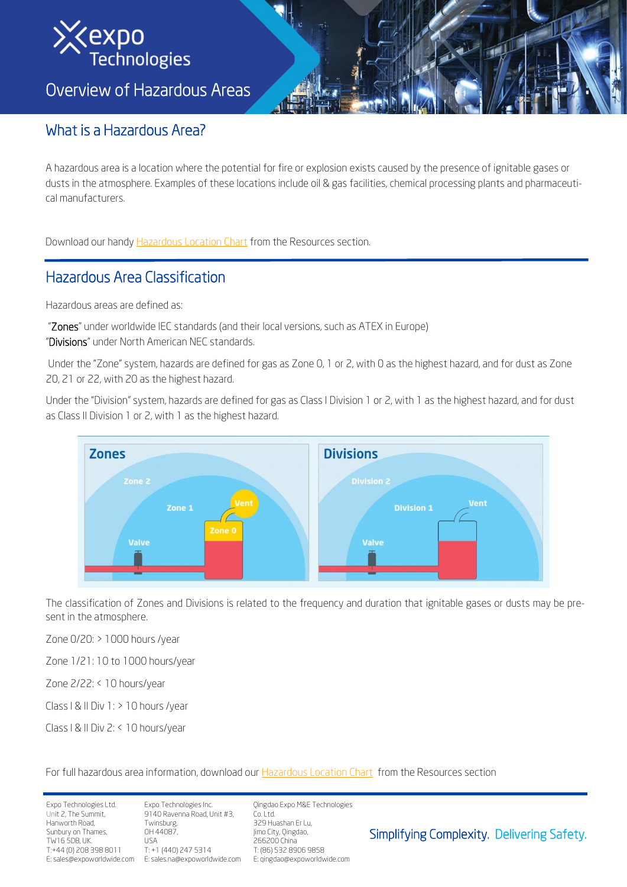

Overview of Hazardous Areas

# What is a Hazardous Area?

A hazardous area is a location where the potential for fire or explosion exists caused by the presence of ignitable gases or dusts in the atmosphere. Examples of these locations include oil & gas facilities, chemical processing plants and pharmaceutical manufacturers.

Download our handy [Hazardous Location Chart](https://www.expoworldwide.com/sites/default/files/resource/download/hazloc_hand_chart_2020_v1.0.pdf) from the Resources section.

# Hazardous Area Classification

Hazardous areas are defined as:

"Zones" under worldwide IEC standards (and their local versions, such as ATEX in Europe) "Divisions" under North American NEC standards.

Under the "Zone" system, hazards are defined for gas as Zone 0, 1 or 2, with 0 as the highest hazard, and for dust as Zone 20, 21 or 22, with 20 as the highest hazard.

Under the "Division" system, hazards are defined for gas as Class I Division 1 or 2, with 1 as the highest hazard, and for dust as Class II Division 1 or 2, with 1 as the highest hazard.



The classification of Zones and Divisions is related to the frequency and duration that ignitable gases or dusts may be present in the atmosphere.

Zone 0/20: > 1000 hours /year

Zone 1/21: 10 to 1000 hours/year

Zone 2/22: < 10 hours/year

Class I & II Div 1: > 10 hours /year

Class I & II Div 2: < 10 hours/year

For full hazardous area information, download our [Hazardous Location Chart](https://www.expoworldwide.com/sites/default/files/resource/download/hazloc_hand_chart_2020_v1.0.pdf) from the Resources section

Expo Technologies Ltd. Unit 2, The Summit, Hanworth Road, Sunbury on Thames, TW16 5DB, UK. T:+44 (0) 208 398 8011 E: sales@expoworldwide.com

Expo Technologies Inc. 9140 Ravenna Road, Unit #3, Twinsburg, OH 44087,  $I \leq A$ T: +1 (440) 247 5314 E: sales.na@expoworldwide.com Qingdao Expo M&E Technologies Co. Ltd. 329 Huashan Er Lu, Jimo City, Qingdao, 266200 China T: (86) 532 8906 9858

E: qingdao@expoworldwide.com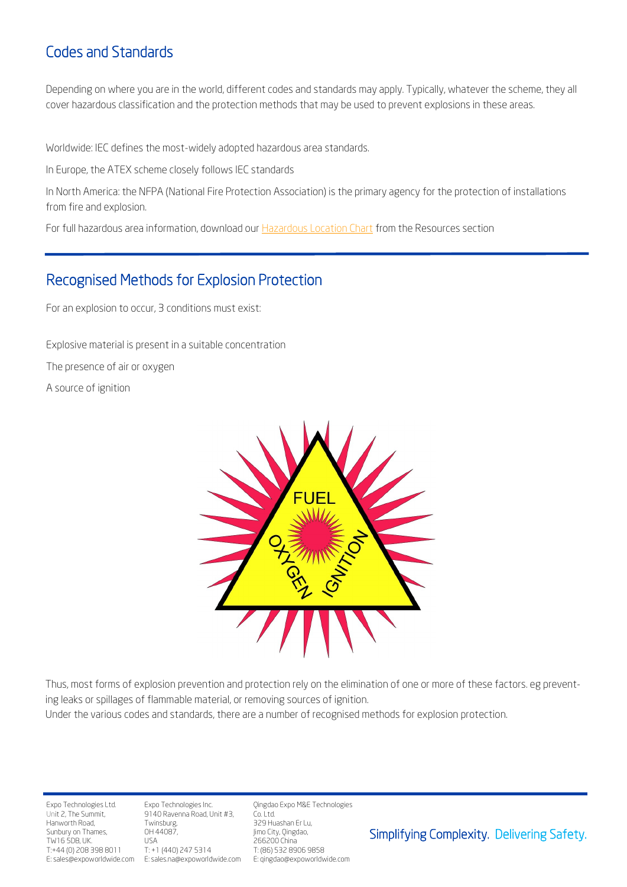## Codes and Standards

Depending on where you are in the world, different codes and standards may apply. Typically, whatever the scheme, they all cover hazardous classification and the protection methods that may be used to prevent explosions in these areas.

Worldwide: IEC defines the most-widely adopted hazardous area standards.

In Europe, the ATEX scheme closely follows IEC standards

In North America: the NFPA (National Fire Protection Association) is the primary agency for the protection of installations from fire and explosion.

For full hazardous area information, download our [Hazardous Location Chart](https://www.expoworldwide.com/sites/default/files/resource/download/hazloc_hand_chart_2020_v1.0.pdf) from the Resources section

#### Recognised Methods for Explosion Protection

For an explosion to occur, 3 conditions must exist:

Explosive material is present in a suitable concentration The presence of air or oxygen A source of ignition



Thus, most forms of explosion prevention and protection rely on the elimination of one or more of these factors. eg preventing leaks or spillages of flammable material, or removing sources of ignition.

Under the various codes and standards, there are a number of recognised methods for explosion protection.

Expo Technologies Ltd. Unit 2, The Summit, Hanworth Road, Sunbury on Thames, TW16 5DB, UK. T:+44 (0) 208 398 8011 E: sales@expoworldwide.com

Expo Technologies Inc. 9140 Ravenna Road, Unit #3, Twinsburg, OH 44087, USA T: +1 (440) 247 5314 E: sales.na@expoworldwide.com Qingdao Expo M&E Technologies Co. Ltd.

329 Huashan Er Lu, Jimo City, Qingdao, 266200 China T: (86) 532 8906 9858 E: qingdao@expoworldwide.com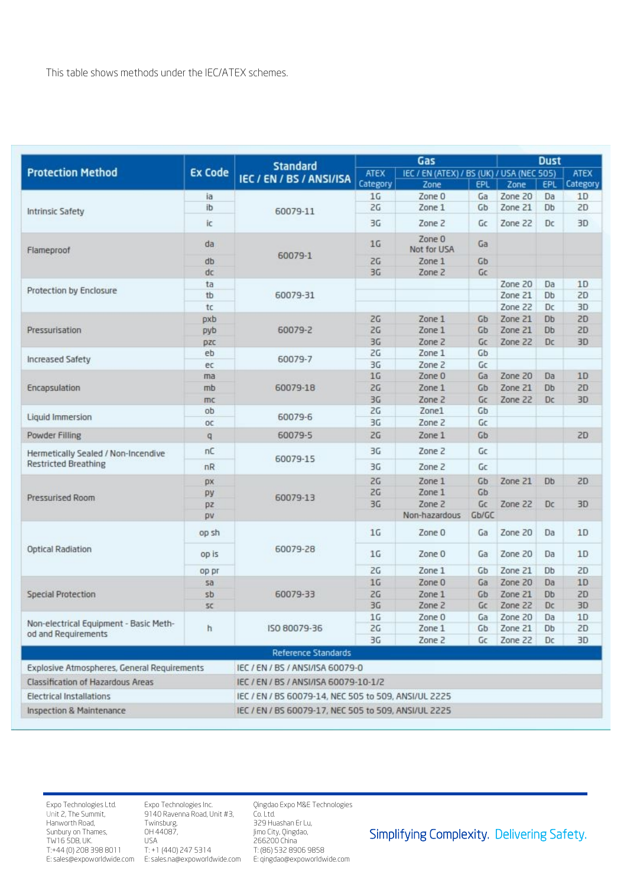|                                                               | <b>Standard</b><br><b>Ex Code</b> |                                                      |                | Gas                                       |            | <b>Dust</b> |           |             |
|---------------------------------------------------------------|-----------------------------------|------------------------------------------------------|----------------|-------------------------------------------|------------|-------------|-----------|-------------|
| <b>Protection Method</b>                                      |                                   | IEC / EN / BS / ANSI/ISA                             | <b>ATEX</b>    | IEC / EN (ATEX) / BS (UK) / USA (NEC 505) |            |             |           | <b>ATEX</b> |
|                                                               |                                   |                                                      | Category       | Zone                                      | <b>EPL</b> | Zone        | EPL       | Category    |
| <b>Intrinsic Safety</b>                                       | ia                                | 60079-11                                             | 1 <sub>G</sub> | Zone 0                                    | Ga         | Zone 20     | Da        | 1D          |
|                                                               | ib                                |                                                      | 2G             | Zone 1                                    | Gb         | Zone 21     | Db        | 2D          |
|                                                               | iс                                |                                                      | 3G             | Zone 2                                    | Gc         | Zone 22     | Dc        | 3D          |
| Flameproof                                                    | da                                | 60079-1                                              | 1G             | Zone 0<br>Not for USA                     | Ga         |             |           |             |
|                                                               | db                                |                                                      | 2G             | Zone 1                                    | Gb         |             |           |             |
|                                                               | dc                                |                                                      | 30             | Zone 2                                    | Gc         |             |           |             |
|                                                               | ta                                | 60079-31                                             |                |                                           |            | Zone 20     | Da        | 1D          |
| Protection by Enclosure                                       | tb                                |                                                      |                |                                           |            | Zone 21     | Db        | 2D          |
|                                                               | tc                                |                                                      |                |                                           |            | Zone 22     | Dc        | 3D          |
|                                                               | pxb                               |                                                      | 2G             | Zone 1                                    | Gb         | Zone 21     | <b>Db</b> | 2D          |
| Pressurisation                                                | pyb                               | 60079-2                                              | 2G             | Zone 1                                    | Gb         | Zone 21     | Db        | 2D          |
|                                                               | DZC                               |                                                      | 30             | Zone 2                                    | Gc         | Zone 22     | Dc        | 3D          |
|                                                               | eb                                |                                                      | 2G             | Zone 1                                    | Gb         |             |           |             |
| <b>Increased Safety</b>                                       | ec                                | 60079-7                                              | 3G             | Zone 2                                    | Gc         |             |           |             |
|                                                               | ma                                | 60079-18                                             | 1 <sub>G</sub> | Zone 0                                    | Ga         | Zone 20     | Da        | 1D          |
| Encapsulation                                                 | mb                                |                                                      | 2G             | Zone 1                                    | Gb         | Zone 21     | Db        | 2D          |
|                                                               | mc                                |                                                      | 3G             | Zone 2                                    | Gc         | Zone 22     | Dc        | 3D          |
|                                                               | ob                                |                                                      | 2G             | Zone1                                     | Gb         |             |           |             |
| Liquid Immersion                                              | <b>OC</b>                         | 60079-6                                              | 3G             | Zone 2                                    | Gc         |             |           |             |
| <b>Powder Filling</b>                                         | $\mathsf{q}$                      | 60079-5                                              | 2G             | Zone 1                                    | Gb         |             |           | 2D          |
| Hermetically Sealed / Non-Incendive                           | nC                                | 60079-15                                             | 3G             | Zone 2                                    | Gc         |             |           |             |
| <b>Restricted Breathing</b>                                   | nR                                |                                                      | 3G             | Zone 2                                    | Gc         |             |           |             |
|                                                               | px                                | 60079-13                                             | 2G             | Zone 1                                    | Gb         | Zone 21     | Db        | 2D          |
| <b>Pressurised Room</b>                                       | py                                |                                                      | 2G             | Zone 1                                    | Gb         |             |           |             |
|                                                               | pz                                |                                                      | 3G             | Zone 2                                    | Gc         | Zone 22     | Dc        | 3D          |
|                                                               | pv                                |                                                      |                | Non-hazardous                             | Gb/GC      |             |           |             |
|                                                               | op sh                             | 60079-28                                             | 1G             | Zone 0                                    | Ga         | Zone 20     | Da        | 1D          |
| <b>Optical Radiation</b>                                      | op is                             |                                                      | 1G             | Zone 0                                    | Ga         | Zone 20     | Da        | 1D          |
|                                                               | op pr                             |                                                      | 2G             | Zone 1                                    | Gb         | Zone 21     | Db        | 2D          |
|                                                               | sa                                | 60079-33                                             | 1G             | Zone 0                                    | Ga         | Zone 20     | Da        | 1D          |
| <b>Special Protection</b>                                     | sb                                |                                                      | 2G             | Zone 1                                    | Gb         | Zone 21     | Db        | 2D          |
|                                                               | SC.                               |                                                      | 30             | Zone 2                                    | Gc         | Zone 22     | Dc        | 3D          |
| Non-electrical Equipment - Basic Meth-<br>od and Requirements |                                   |                                                      | 1G             | Zone 0                                    | Ga         | Zone 20     | Da        | 1D          |
|                                                               | h                                 | ISO 80079-36                                         | 2G             | Zone 1                                    | Gb         | Zone 21     | Db        | 2D          |
|                                                               |                                   |                                                      | 3G             | Zone 2                                    | Gc         | Zone 22     | Dc        | 3D          |
|                                                               |                                   | <b>Reference Standards</b>                           |                |                                           |            |             |           |             |
| Explosive Atmospheres, General Requirements                   |                                   | IEC / EN / BS / ANSI/ISA 60079-0                     |                |                                           |            |             |           |             |
| <b>Classification of Hazardous Areas</b>                      |                                   | IEC / EN / BS / ANSI/ISA 60079-10-1/2                |                |                                           |            |             |           |             |
| <b>Electrical Installations</b>                               |                                   | IEC / EN / BS 60079-14, NEC 505 to 509, ANSI/UL 2225 |                |                                           |            |             |           |             |
| <b>Inspection &amp; Maintenance</b>                           |                                   | IEC / EN / BS 60079-17, NEC 505 to 509, ANSI/UL 2225 |                |                                           |            |             |           |             |

Expo Technologies Ltd. Unit 2, The Summit, Hanworth Road, Sunbury on Thames, TW16 5DB, UK. T:+44 (0) 208 398 8011

E: sales@expoworldwide.com E: sales.na@expoworldwide.com Expo Technologies Inc. 9140 Ravenna Road, Unit #3, Twinsburg, OH 44087, USA T: +1 (440) 247 5314

Qingdao Expo M&E Technologies Co. Ltd.

329 Huashan Er Lu, Jimo City, Qingdao, 266200 China T: (86) 532 8906 9858 E: qingdao@expoworldwide.com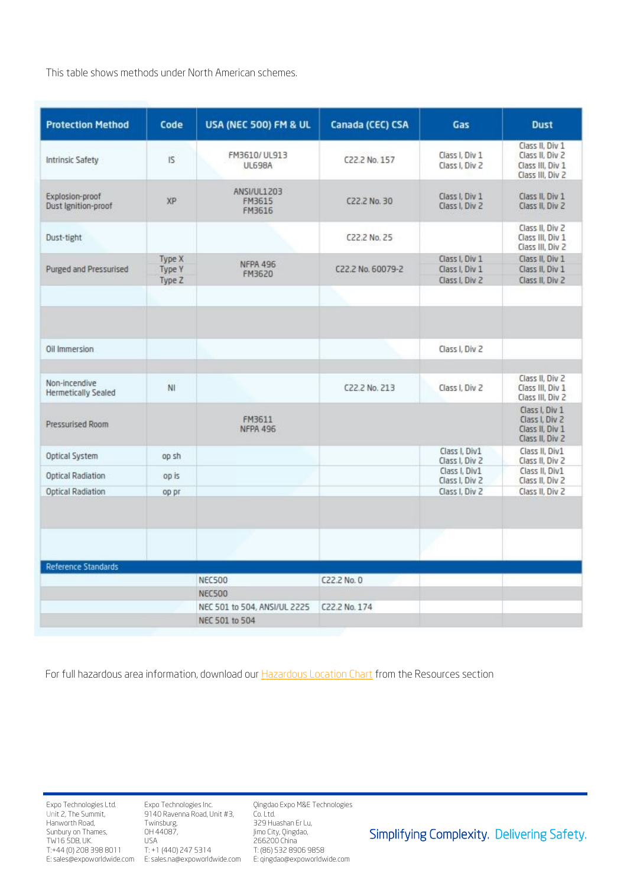This table shows methods under North American schemes.

| <b>Protection Method</b>                    | Code                              | USA (NEC 500) FM & UL                          | Canada (CEC) CSA  | Gas                                                | <b>Dust</b>                                                                |
|---------------------------------------------|-----------------------------------|------------------------------------------------|-------------------|----------------------------------------------------|----------------------------------------------------------------------------|
| Intrinsic Safety                            | 15                                | FM3610/UL913<br><b>UL698A</b>                  | C22.2 No. 157     | Class I, Div 1<br>Class I. Div 2                   | Class II. Div 1<br>Class II, Div 2<br>Class III, Div 1<br>Class III, Div 2 |
| Explosion-proof<br>Dust Ignition-proof      | XP                                | ANSI/UL1203<br>FM3615<br>FM3616                | C22.2 No. 30      | Class I, Div 1<br>Class I. Div 2                   | Class II, Div 1<br>Class II, Div 2                                         |
| Dust-tight                                  |                                   |                                                | C22.2 No. 25      |                                                    | Class II, Div 2<br>Class III, Div 1<br>Class III, Div 2                    |
| Purged and Pressurised                      | Type X<br><b>Type Y</b><br>Type Z | <b>NFPA 496</b><br>FM3620                      | C22.2 No. 60079-2 | Class I. Div 1<br>Class I, Div 1<br>Class I. Div 2 | Class II. Div 1<br>Class II, Div 1<br>Class II, Div 2                      |
|                                             |                                   |                                                |                   |                                                    |                                                                            |
| Oil Immersion                               |                                   |                                                |                   | Class I. Div 2                                     |                                                                            |
| Non-incendive<br><b>Hermetically Sealed</b> | NI                                |                                                | C22.2 No. 213     | Class I. Div 2                                     | Class II, Div 2<br>Class III, Div 1<br>Class III, Div 2                    |
| Pressurised Room                            |                                   | FM3611<br><b>NFPA 496</b>                      |                   |                                                    | Class I, Div 1<br>Class I. Div 2<br>Class II, Div 1<br>Class II, Div 2     |
| Optical System                              | op sh                             |                                                |                   | Class I, Div1                                      | Class II. Div1                                                             |
|                                             |                                   |                                                |                   | Class I, Div 2<br>Class I. Div1                    | Class II. Div 2<br>Class II, Div1                                          |
| Optical Radiation                           | op is                             |                                                |                   | Class I, Div 2                                     | Class II, Div 2                                                            |
| <b>Optical Radiation</b>                    | op pr                             |                                                |                   | Class I, Div 2                                     | Class II, Div 2                                                            |
| Reference Standards                         |                                   |                                                |                   |                                                    |                                                                            |
|                                             |                                   | <b>NEC500</b>                                  | C22.2 No. 0       |                                                    |                                                                            |
|                                             |                                   | <b>NEC500</b>                                  |                   |                                                    |                                                                            |
|                                             |                                   | NEC 501 to 504, ANSI/UL 2225<br>NEC 501 to 504 | C22.2 No. 174     |                                                    |                                                                            |

For full hazardous area information, download our [Hazardous Location Chart](https://www.expoworldwide.com/sites/default/files/resource/download/hazloc_hand_chart_2020_v1.0.pdf) from the Resources section

Expo Technologies Ltd. Unit 2, The Summit, Hanworth Road, Sunbury on Thames, TW16 5DB, UK. T:+44 (0) 208 398 8011 E: sales@expoworldwide.com

Expo Technologies Inc. 9140 Ravenna Road, Unit #3, Twinsburg, OH 44087, USA T: +1 (440) 247 5314 E: sales.na@expoworldwide.com Qingdao Expo M&E Technologies Co. Ltd.

329 Huashan Er Lu, Jimo City, Qingdao, 266200 China T: (86) 532 8906 9858 E: qingdao@expoworldwide.com